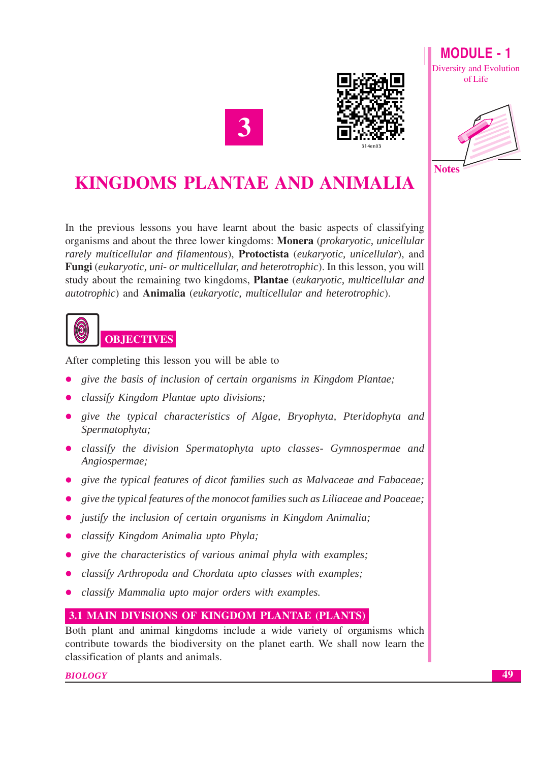



**MODULE - 1** Diversity and Evolution of Life



# **KINGDOMS PLANTAE AND ANIMALIA**

In the previous lessons you have learnt about the basic aspects of classifying organisms and about the three lower kingdoms: Monera (prokaryotic, unicellular rarely multicellular and filamentous), Protoctista (eukaryotic, unicellular), and Fungi (eukaryotic, uni- or multicellular, and heterotrophic). In this lesson, you will study about the remaining two kingdoms, **Plantae** (*eukaryotic, multicellular and* autotrophic) and Animalia (eukaryotic, multicellular and heterotrophic).



After completing this lesson you will be able to

- give the basis of inclusion of certain organisms in Kingdom Plantae;
- classify Kingdom Plantae upto divisions;
- give the typical characteristics of Algae, Bryophyta, Pteridophyta and Spermatophyta;
- classify the division Spermatophyta upto classes- Gymnospermae and Angiospermae:
- give the typical features of dicot families such as Malvaceae and Fabaceae;
- give the typical features of the monocot families such as Liliaceae and Poaceae;
- justify the inclusion of certain organisms in Kingdom Animalia;
- classify Kingdom Animalia upto Phyla;
- give the characteristics of various animal phyla with examples;  $\bullet$
- classify Arthropoda and Chordata upto classes with examples;
- classify Mammalia upto major orders with examples.

## 3.1 MAIN DIVISIONS OF KINGDOM PLANTAE (PLANTS)

Both plant and animal kingdoms include a wide variety of organisms which contribute towards the biodiversity on the planet earth. We shall now learn the classification of plants and animals.

**BIOLOGY**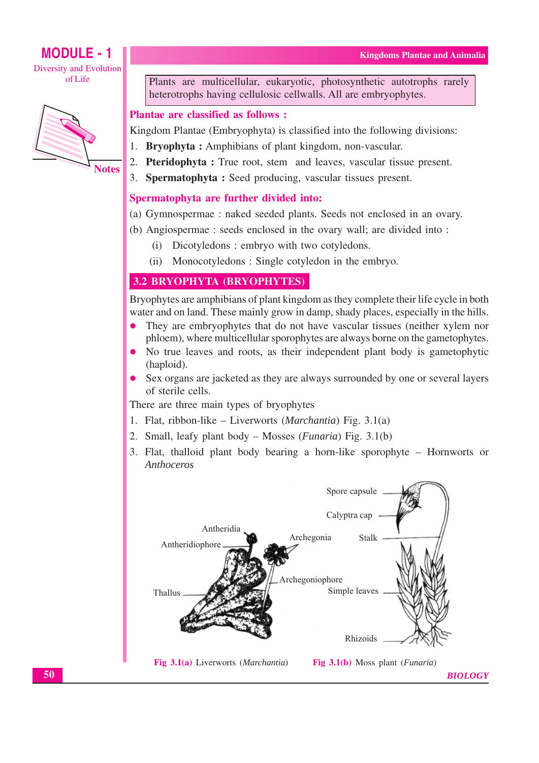## **MODULE - 1 Diversity and Evolution**

ofLife



Plants are multicellular, eukaryotic, photosynthetic autotrophs rarely heterotrophs having cellulosic cellwalls. All are embryophytes.

## **Plantae are classified as follows:**

Kingdom Plantae (Embryophyta) is classified into the following divisions:

- $1.$ **Bryophyta:** Amphibians of plant kingdom, non-vascular.
- 2. Pteridophyta: True root, stem and leaves, vascular tissue present.
- 3. Spermatophyta: Seed producing, vascular tissues present.

## Spermatophyta are further divided into:

- (a) Gymnospermae : naked seeded plants. Seeds not enclosed in an ovary.
- (b) Angiospermae: seeds enclosed in the ovary wall; are divided into:
	- (i) Dicotyledons: embryo with two cotyledons.
	- $(ii)$ Monocotyledons: Single cotyledon in the embryo.

## **3.2 BRYOPHYTA (BRYOPHYTES)**

Bryophytes are amphibians of plant kingdom as they complete their life cycle in both water and on land. These mainly grow in damp, shady places, especially in the hills.

- They are embryophytes that do not have vascular tissues (neither xylem nor phloem), where multicellular sporophytes are always borne on the gametophytes.
- No true leaves and roots, as their independent plant body is gametophytic  $\bullet$ (haploid).
- Sex organs are jacketed as they are always surrounded by one or several layers of sterile cells.

There are three main types of bryophytes

- 1. Flat, ribbon-like Liverworts (*Marchantia*) Fig.  $3.1(a)$
- 2. Small, leafy plant body Mosses (*Funaria*) Fig. 3.1(b)
- 3. Flat, thalloid plant body bearing a horn-like sporophyte Hornworts or Anthoceros

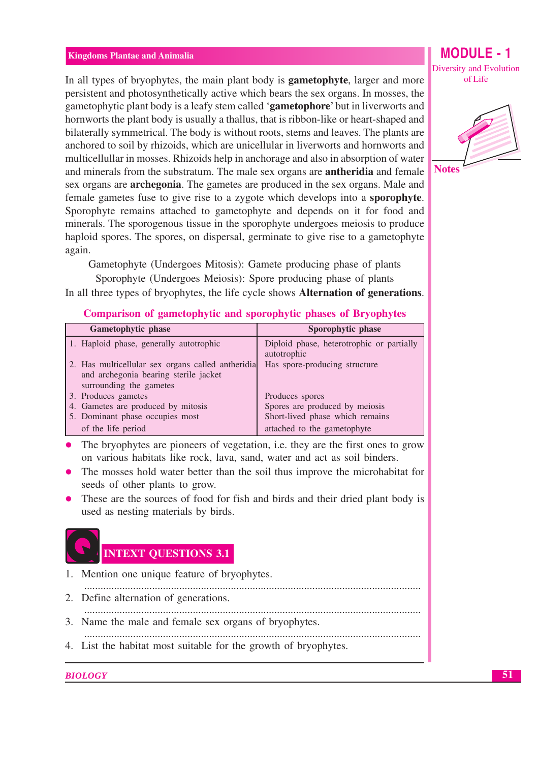In all types of bryophytes, the main plant body is **gametophyte**, larger and more persistent and photosynthetically active which bears the sex organs. In mosses, the gametophytic plant body is a leafy stem called 'gametophore' but in liverworts and hornworts the plant body is usually a thallus, that is ribbon-like or heart-shaped and bilaterally symmetrical. The body is without roots, stems and leaves. The plants are anchored to soil by rhizoids, which are unicellular in liverworts and hornworts and multicellullar in mosses. Rhizoids help in anchorage and also in absorption of water and minerals from the substratum. The male sex organs are **antheridia** and female sex organs are **archegonia**. The gametes are produced in the sex organs. Male and female gametes fuse to give rise to a zygote which develops into a **sporophyte**. Sporophyte remains attached to gametophyte and depends on it for food and minerals. The sporogenous tissue in the sporophyte undergoes meiosis to produce haploid spores. The spores, on dispersal, germinate to give rise to a gametophyte again.

Gametophyte (Undergoes Mitosis): Gamete producing phase of plants Sporophyte (Undergoes Meiosis): Spore producing phase of plants

In all three types of bryophytes, the life cycle shows **Alternation of generations**.

| $\sim$ 0.11 per 10.011 or generate party are when $\sim$ por $\sim$ party are parented on $\sim$ 1, $\sim$ party evolved |                                                          |  |  |  |
|--------------------------------------------------------------------------------------------------------------------------|----------------------------------------------------------|--|--|--|
| Gametophytic phase                                                                                                       | Sporophytic phase                                        |  |  |  |
| 1. Haploid phase, generally autotrophic                                                                                  | Diploid phase, heterotrophic or partially<br>autotrophic |  |  |  |
| 2. Has multicellular sex organs called antheridia<br>and archegonia bearing sterile jacket<br>surrounding the gametes    | Has spore-producing structure                            |  |  |  |
| 3. Produces gametes                                                                                                      | Produces spores                                          |  |  |  |
| 4. Gametes are produced by mitosis                                                                                       | Spores are produced by meiosis                           |  |  |  |
| 5. Dominant phase occupies most                                                                                          | Short-lived phase which remains                          |  |  |  |

## **Comparison of gametophytic and sporophytic phases of Bryophytes**

The bryophytes are pioneers of vegetation, i.e. they are the first ones to grow on various habitats like rock, lava, sand, water and act as soil binders.

attached to the gametophyte

- The mosses hold water better than the soil thus improve the microhabitat for seeds of other plants to grow.
- These are the sources of food for fish and birds and their dried plant body is used as nesting materials by birds.



of the life period

- 1. Mention one unique feature of bryophytes.
- 
- 2. Define alternation of generations.
- 3. Name the male and female sex organs of bryophytes.
- 
- 4. List the habitat most suitable for the growth of bryophytes.

#### **BIOLOGY**

Diversity and Evolution of Life

**MODULE - 1** 

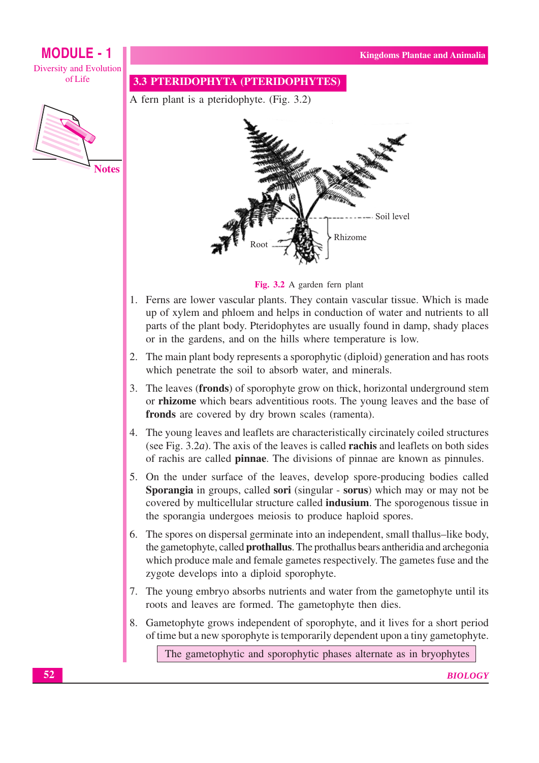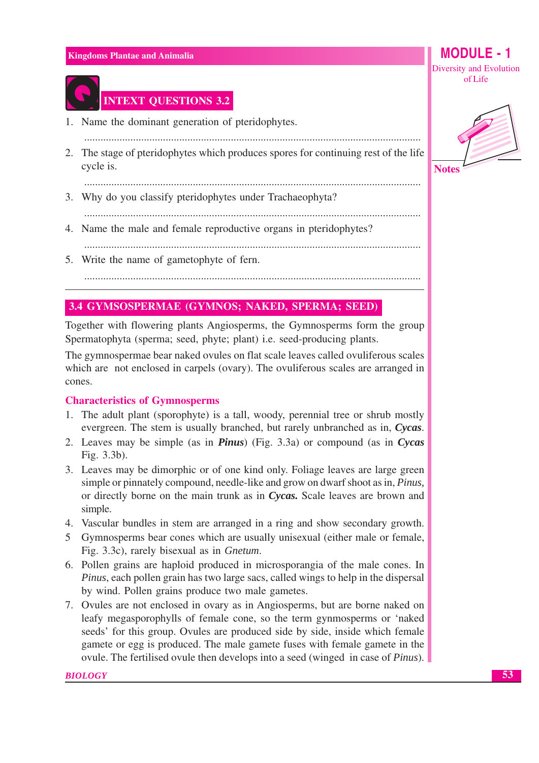

# **INTEXT QUESTIONS 3.2**

- 1. Name the dominant generation of pteridophytes.
- 2. The stage of pteridophytes which produces spores for continuing rest of the life cycle is.

3. Why do you classify pteridophytes under Trachaeophyta?

- 4. Name the male and female reproductive organs in pteridophytes?
- 5. Write the name of gametophyte of fern.

## 3.4 GYMSOSPERMAE (GYMNOS; NAKED, SPERMA; SEED)

Together with flowering plants Angiosperms, the Gymnosperms form the group Spermatophyta (sperma; seed, phyte; plant) i.e. seed-producing plants.

The gymnospermae bear naked ovules on flat scale leaves called ovuliferous scales which are not enclosed in carpels (ovary). The ovuliferous scales are arranged in cones.

#### **Characteristics of Gymnosperms**

- 1. The adult plant (sporophyte) is a tall, woody, perennial tree or shrub mostly evergreen. The stem is usually branched, but rarely unbranched as in, Cycas.
- 2. Leaves may be simple (as in *Pinus*) (Fig. 3.3a) or compound (as in *Cycas* Fig. 3.3b).
- 3. Leaves may be dimorphic or of one kind only. Foliage leaves are large green simple or pinnately compound, needle-like and grow on dwarf shoot as in, *Pinus*, or directly borne on the main trunk as in *Cycas*. Scale leaves are brown and simple.
- 4. Vascular bundles in stem are arranged in a ring and show secondary growth.
- 5 Gymnosperms bear cones which are usually unisexual (either male or female, Fig. 3.3c), rarely bisexual as in *Gnetum*.
- 6. Pollen grains are haploid produced in microsporangia of the male cones. In *Pinus*, each pollen grain has two large sacs, called wings to help in the dispersal by wind. Pollen grains produce two male gametes.
- 7. Ovules are not enclosed in ovary as in Angiosperms, but are borne naked on leafy megasporophylls of female cone, so the term gynmosperms or 'naked seeds' for this group. Ovules are produced side by side, inside which female gamete or egg is produced. The male gamete fuses with female gamete in the ovule. The fertilised ovule then develops into a seed (winged in case of *Pinus*).

#### **BIOLOGY**

Diversity and Evolution of Life

**MODULE** - 1



**Notes**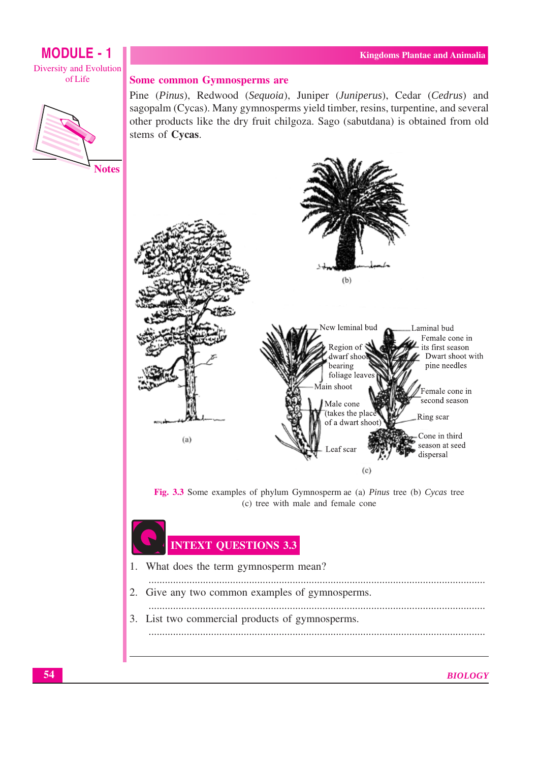## **MODULE - 1** Diversity and Evolution of Life



## **Some common Gymnosperms are**

Pine (Pinus), Redwood (Sequoia), Juniper (Juniperus), Cedar (Cedrus) and sagopalm (Cycas). Many gymnosperms yield timber, resins, turpentine, and several other products like the dry fruit chilgoza. Sago (sabutdana) is obtained from old stems of Cycas.



# **INTEXT QUESTIONS 3.3**

| 1. What does the term gymnosperm mean?          |
|-------------------------------------------------|
| 2. Give any two common examples of gymnosperms. |
| 3. List two commercial products of gymnosperms. |
|                                                 |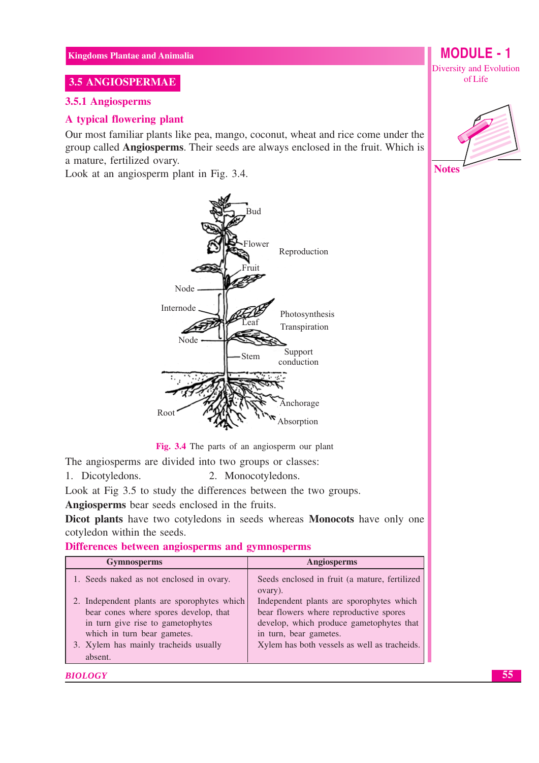## 3.5 ANGIOSPERMAE

#### 3.5.1 Angiosperms

## A typical flowering plant

Our most familiar plants like pea, mango, coconut, wheat and rice come under the group called Angiosperms. Their seeds are always enclosed in the fruit. Which is a mature, fertilized ovary.

Look at an angiosperm plant in Fig. 3.4.



Fig. 3.4 The parts of an angiosperm our plant

The angiosperms are divided into two groups or classes:

1. Dicotyledons. 2. Monocotyledons.

Look at Fig 3.5 to study the differences between the two groups.

Angiosperms bear seeds enclosed in the fruits.

Dicot plants have two cotyledons in seeds whereas Monocots have only one cotyledon within the seeds.

#### Differences between angiosperms and gymnosperms

| <b>Gymnosperms</b>                                                                                                                                                                                           | Angiosperms                                                                                                                                                                                              |
|--------------------------------------------------------------------------------------------------------------------------------------------------------------------------------------------------------------|----------------------------------------------------------------------------------------------------------------------------------------------------------------------------------------------------------|
| 1. Seeds naked as not enclosed in ovary.                                                                                                                                                                     | Seeds enclosed in fruit (a mature, fertilized<br>ovary).                                                                                                                                                 |
| 2. Independent plants are sporophytes which<br>bear cones where spores develop, that<br>in turn give rise to gametophytes<br>which in turn bear gametes.<br>3. Xylem has mainly tracheids usually<br>absent. | Independent plants are sporophytes which<br>bear flowers where reproductive spores<br>develop, which produce gametophytes that<br>in turn, bear gametes.<br>Xylem has both vessels as well as tracheids. |

#### **BIOLOGY**

**MODULE - 1** Diversity and Evolution of Life



**Notes**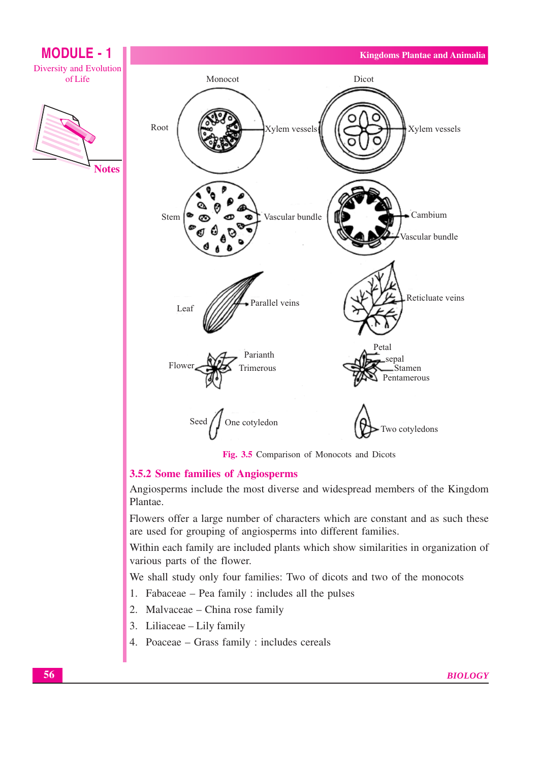

Fig. 3.5 Comparison of Monocots and Dicots

## 3.5.2 Some families of Angiosperms

Angiosperms include the most diverse and widespread members of the Kingdom Plantae.

Flowers offer a large number of characters which are constant and as such these are used for grouping of angiosperms into different families.

Within each family are included plants which show similarities in organization of various parts of the flower.

We shall study only four families: Two of dicots and two of the monocots

- 1. Fabaceae Pea family : includes all the pulses
- 2. Malvaceae China rose family
- 3. Liliaceae Lily family
- 4. Poaceae Grass family : includes cereals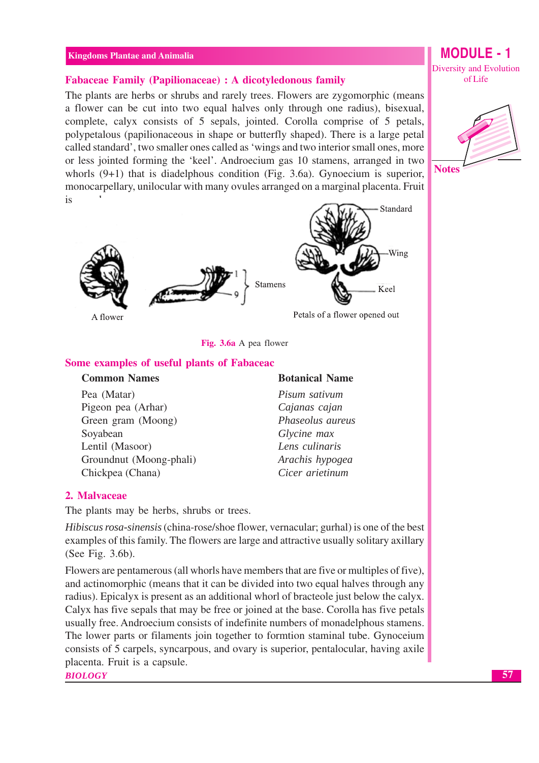#### **Fabaceae Family (Papilionaceae) : A dicotyledonous family**

The plants are herbs or shrubs and rarely trees. Flowers are zygomorphic (means a flower can be cut into two equal halves only through one radius), bisexual, complete, calyx consists of 5 sepals, jointed. Corolla comprise of 5 petals, polypetalous (papilionaceous in shape or butterfly shaped). There is a large petal called standard', two smaller ones called as 'wings and two interior small ones, more or less jointed forming the 'keel'. Androecium gas 10 stamens, arranged in two whorls  $(9+1)$  that is diadelphous condition (Fig. 3.6a). Gynoecium is superior, monocarpellary, unilocular with many ovules arranged on a marginal placenta. Fruit is



Fig. 3.6a A pea flower

#### Some examples of useful plants of Fabaceac

#### **Common Names**

Pea (Matar) Pigeon pea (Arhar) Green gram (Moong) Sovabean Lentil (Masoor) Groundnut (Moong-phali) Chickpea (Chana)

#### **Botanical Name**

Pisum sativum Cajanas cajan Phaseolus aureus Glycine max Lens culinaris Arachis hypogea Cicer arietinum

#### 2. Malvaceae

The plants may be herbs, shrubs or trees.

Hibiscus rosa-sinensis (china-rose/shoe flower, vernacular; gurhal) is one of the best examples of this family. The flowers are large and attractive usually solitary axillary (See Fig. 3.6b).

Flowers are pentamerous (all whorls have members that are five or multiples of five). and actinomorphic (means that it can be divided into two equal halves through any radius). Epicalyx is present as an additional whorl of bracteole just below the calyx. Calyx has five sepals that may be free or joined at the base. Corolla has five petals usually free. Androecium consists of indefinite numbers of monadelphous stamens. The lower parts or filaments join together to formtion staminal tube. Gynoceium consists of 5 carpels, syncarpous, and ovary is superior, pentalocular, having axile placenta. Fruit is a capsule.

**BIOLOGY** 

# **MODULE - 1** Diversity and Evolution

of Life

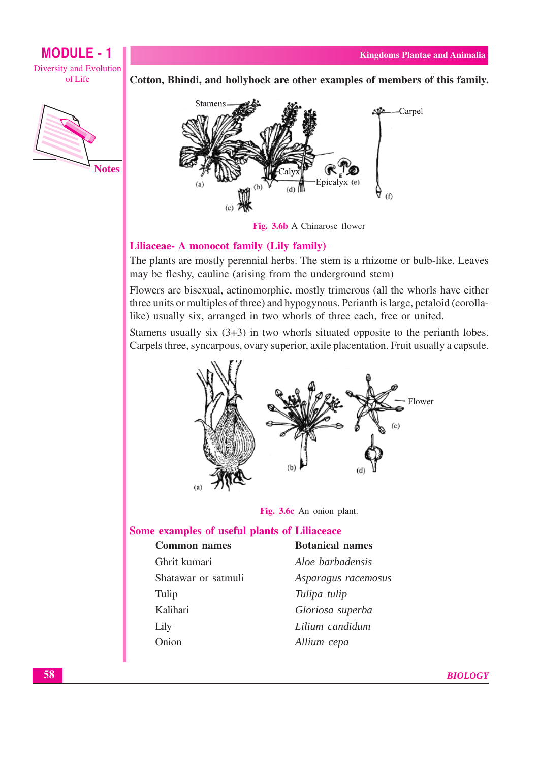



Cotton, Bhindi, and hollyhock are other examples of members of this family.



Fig. 3.6b A Chinarose flower

#### Liliaceae- A monocot family (Lily family)

The plants are mostly perennial herbs. The stem is a rhizome or bulb-like. Leaves may be fleshy, cauline (arising from the underground stem)

Flowers are bisexual, actinomorphic, mostly trimerous (all the whorls have either three units or multiples of three) and hypogynous. Perianth is large, petaloid (corollalike) usually six, arranged in two whorls of three each, free or united.

Stamens usually six  $(3+3)$  in two whorls situated opposite to the perianth lobes. Carpels three, syncarpous, ovary superior, axile placentation. Fruit usually a capsule.





#### Some examples of useful plants of Liliaceace

| <b>Common names</b> | <b>Botanical names</b> |  |  |
|---------------------|------------------------|--|--|
| Ghrit kumari        | Aloe barbadensis       |  |  |
| Shatawar or satmuli | Asparagus racemosus    |  |  |
| Tulip               | Tulipa tulip           |  |  |
| Kalihari            | Gloriosa superba       |  |  |
| Lily                | Lilium candidum        |  |  |
| Onion               | Allium cepa            |  |  |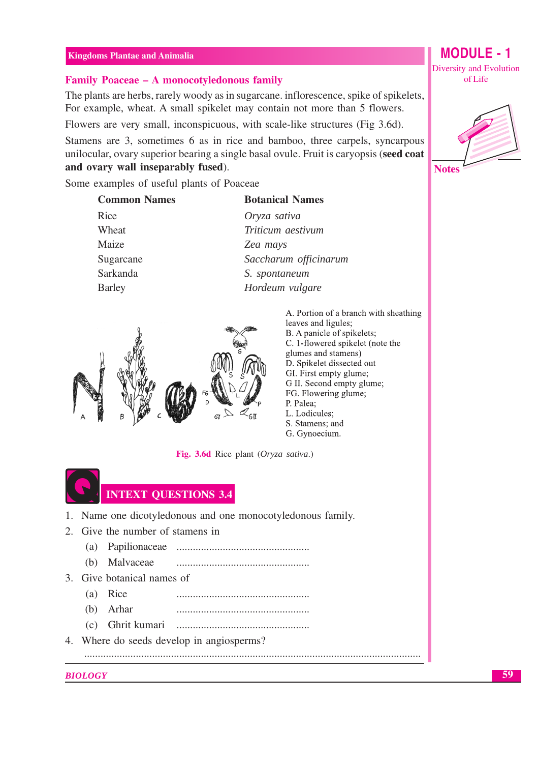#### Family Poaceae - A monocotyledonous family

The plants are herbs, rarely woody as in sugarcane, inflorescence, spike of spikelets. For example, wheat. A small spikelet may contain not more than 5 flowers.

Flowers are very small, inconspicuous, with scale-like structures (Fig 3.6d).

Stamens are 3, sometimes 6 as in rice and bamboo, three carpels, syncarpous unilocular, ovary superior bearing a single basal ovule. Fruit is caryopsis (seed coat and ovary wall inseparably fused).

Some examples of useful plants of Poaceae

| <b>Common Names</b> | <b>Botanical Names</b> |  |  |
|---------------------|------------------------|--|--|
| Rice                | Oryza sativa           |  |  |
| Wheat               | Triticum aestivum      |  |  |
| Maize               | Zea mays               |  |  |
| Sugarcane           | Saccharum officinarum  |  |  |
| Sarkanda            | S. spontaneum          |  |  |
| <b>Barley</b>       | Hordeum vulgare        |  |  |
|                     |                        |  |  |



A. Portion of a branch with sheathing leaves and ligules; B. A panicle of spikelets: C. 1-flowered spikelet (note the glumes and stamens) D. Spikelet dissected out GI. First empty glume; G II. Second empty glume; FG. Flowering glume; P. Palea; L. Lodicules: S. Stamens; and G. Gynoecium.

Fig. 3.6d Rice plant (Oryza sativa.)

# **INTEXT QUESTIONS 3.4**

- 1. Name one dicotyledonous and one monocotyledonous family.
- 2. Give the number of stamens in
	-
	- (b) Malvaceae
- 3. Give botanical names of
	- (a) Rice
	- $(b)$  Arhar
	- (c) Ghrit kumari
- 4. Where do seeds develop in angiosperms?

#### **BIOLOGY**

**MODULE - 1** Diversity and Evolution of Life





59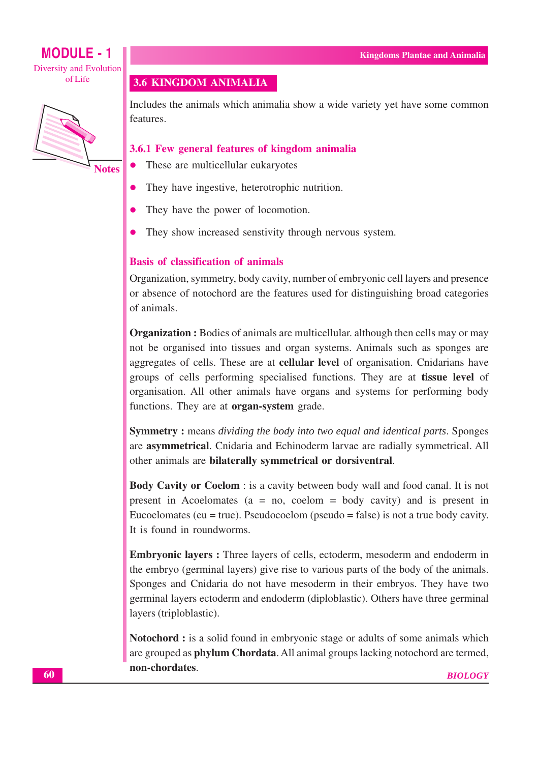## **MODULE - 1** Diversity and Evolution

ofLife



3.6 KINGDOM ANIMALIA

Includes the animals which animalia show a wide variety yet have some common features.

## 3.6.1 Few general features of kingdom animalia

- These are multicellular eukaryotes
- They have ingestive, heterotrophic nutrition.
- They have the power of locomotion.
- They show increased senstivity through nervous system.  $\bullet$

#### **Basis of classification of animals**

Organization, symmetry, body cavity, number of embryonic cell layers and presence or absence of notochord are the features used for distinguishing broad categories of animals

**Organization:** Bodies of animals are multicellular, although then cells may or may not be organised into tissues and organ systems. Animals such as sponges are aggregates of cells. These are at **cellular level** of organisation. Cnidarians have groups of cells performing specialised functions. They are at **tissue level** of organisation. All other animals have organs and systems for performing body functions. They are at **organ-system** grade.

**Symmetry:** means *dividing the body into two equal and identical parts*. Sponges are **asymmetrical**. Cnidaria and Echinoderm larvae are radially symmetrical. All other animals are bilaterally symmetrical or dorsiventral.

Body Cavity or Coelom : is a cavity between body wall and food canal. It is not present in Acoelomates ( $a = no$ , coelom = body cavity) and is present in Eucoelomates (eu = true). Pseudocoelom (pseudo = false) is not a true body cavity. It is found in roundworms.

**Embryonic layers:** Three layers of cells, ectoderm, mesoderm and endoderm in the embryo (germinal layers) give rise to various parts of the body of the animals. Sponges and Cnidaria do not have mesoderm in their embryos. They have two germinal layers ectoderm and endoderm (diploblastic). Others have three germinal layers (triploblastic).

Notochord : is a solid found in embryonic stage or adults of some animals which are grouped as **phylum Chordata**. All animal groups lacking notochord are termed, non-chordates.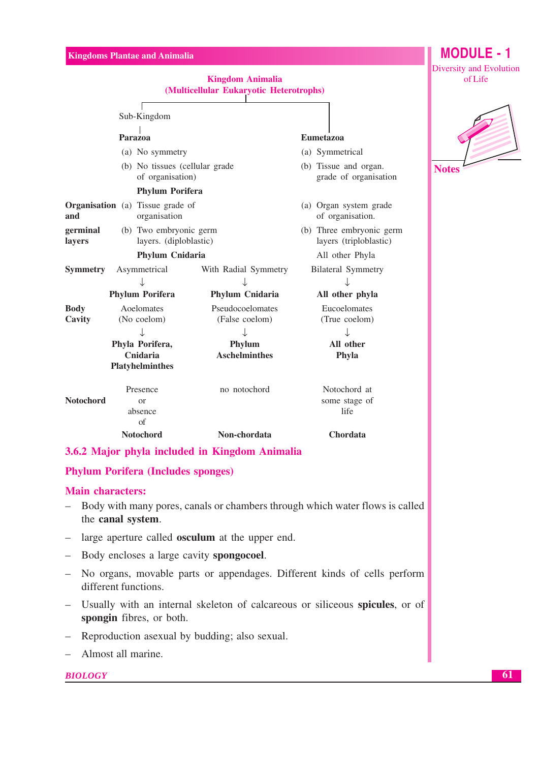| (Multicellular Eukaryotic Heterotrophs)                                | Diversity and Evolution<br>of Life |                                                    |              |
|------------------------------------------------------------------------|------------------------------------|----------------------------------------------------|--------------|
| Sub-Kingdom                                                            |                                    |                                                    |              |
| Parazoa                                                                |                                    | <b>Eumetazoa</b>                                   |              |
| (a) No symmetry                                                        |                                    | (a) Symmetrical                                    |              |
| (b) No tissues (cellular grade<br>of organisation)                     |                                    | (b) Tissue and organ.<br>grade of organisation     | <b>Notes</b> |
| <b>Phylum Porifera</b>                                                 |                                    |                                                    |              |
| <b>Organisation</b> (a) Tissue grade of<br>organisation<br>and         |                                    | (a) Organ system grade<br>of organisation.         |              |
| germinal<br>(b) Two embryonic germ<br>layers. (diploblastic)<br>layers |                                    | (b) Three embryonic germ<br>layers (triploblastic) |              |
| Phylum Cnidaria                                                        |                                    | All other Phyla                                    |              |
| <b>Symmetry</b><br>Asymmetrical                                        | With Radial Symmetry               | <b>Bilateral Symmetry</b>                          |              |
|                                                                        |                                    |                                                    |              |
| <b>Phylum Porifera</b>                                                 | Phylum Cnidaria                    | All other phyla                                    |              |
| <b>Body</b><br>Aoelomates<br>Cavity<br>(No coelom)                     | Pseudocoelomates<br>(False coelom) | Eucoelomates<br>(True coelom)                      |              |
| ↓                                                                      |                                    |                                                    |              |
| Phyla Porifera,<br>Cnidaria                                            | Phylum<br><b>Aschelminthes</b>     | All other<br>Phyla                                 |              |
| <b>Platyhelminthes</b>                                                 |                                    |                                                    |              |
| Presence<br><b>Notochord</b><br><sub>or</sub><br>absence               | no notochord                       | Notochord at<br>some stage of<br>life              |              |
| of<br><b>Notochord</b><br>$\bigwedge \mathbf{M}$ . $\bigcup$           | Non-chordata<br>. 19               | Chordata                                           |              |

## 3.6.2 Major phyla included in Kingdom Animalia

## **Phylum Porifera (Includes sponges)**

## **Main characters:**

- $\equiv$   $\equiv$ Body with many pores, canals or chambers through which water flows is called the canal system.
- large aperture called **osculum** at the upper end.
- Body encloses a large cavity spongocoel.
- No organs, movable parts or appendages. Different kinds of cells perform different functions.
- Usually with an internal skeleton of calcareous or siliceous spicules, or of spongin fibres, or both.
- Reproduction as exual by budding; also sexual.
- Almost all marine.  $\equiv$

## **BIOLOGY**

**MODULE - 1**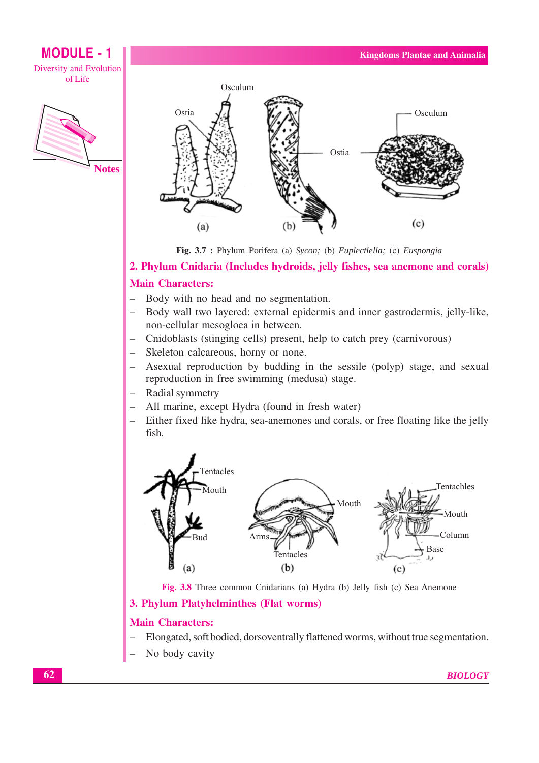## **MODULE - 1 Diversity and Evolution** ofLife





Fig. 3.7 : Phylum Porifera (a) Sycon; (b) Euplectlella; (c) Euspongia

## 2. Phylum Cnidaria (Includes hydroids, jelly fishes, sea anemone and corals)

## **Main Characters:**

- Body with no head and no segmentation.
- Body wall two layered: external epidermis and inner gastrodermis, jelly-like, non-cellular mesogloea in between.
- Cnidoblasts (stinging cells) present, help to catch prey (carnivorous)
- Skeleton calcareous, horny or none.
- Asexual reproduction by budding in the sessile (polyp) stage, and sexual reproduction in free swimming (medusa) stage.
- Radial symmetry
- All marine, except Hydra (found in fresh water)
- Either fixed like hydra, sea-anemones and corals, or free floating like the jelly fish.



Fig. 3.8 Three common Cnidarians (a) Hydra (b) Jelly fish (c) Sea Anemone

## 3. Phylum Platyhelminthes (Flat worms)

#### **Main Characters:**

- Elongated, soft bodied, dorsoventrally flattened worms, without true segmentation.
- No body cavity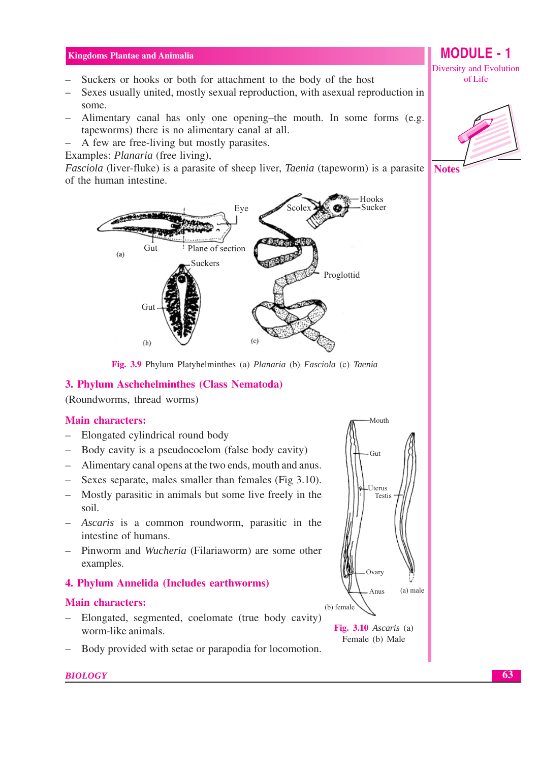- Suckers or hooks or both for attachment to the body of the host
- Sexes usually united, mostly sexual reproduction, with asexual reproduction in some.
- Alimentary canal has only one opening-the mouth. In some forms (e.g. tapeworms) there is no alimentary canal at all.
- A few are free-living but mostly parasites.
- Examples: *Planaria* (free living),

*Fasciola* (liver-fluke) is a parasite of sheep liver, *Taenia* (tapeworm) is a parasite of the human intestine.



Fig. 3.9 Phylum Platyhelminthes (a) Planaria (b) Fasciola (c) Taenia

#### 3. Phylum Aschehelminthes (Class Nematoda)

(Roundworms, thread worms)

## **Main characters:**

- Elongated cylindrical round body  $\equiv$
- Body cavity is a pseudocoelom (false body cavity)  $\equiv$   $^{-1}$
- Alimentary canal opens at the two ends, mouth and anus.
- Sexes separate, males smaller than females (Fig 3.10).
- Mostly parasitic in animals but some live freely in the soil.
- Ascaris is a common roundworm, parasitic in the intestine of humans.
- Pinworm and Wucheria (Filariaworm) are some other examples.

## 4. Phylum Annelida (Includes earthworms)

## **Main characters:**

Elongated, segmented, coelomate (true body cavity)  $\equiv$ worm-like animals.

Body provided with setae or parapodia for locomotion.



Fig.  $3.10$  Ascaris (a) Female (b) Male

Diversity and Evolution of Life

**MODULE - 1** 





**BIOLOGY**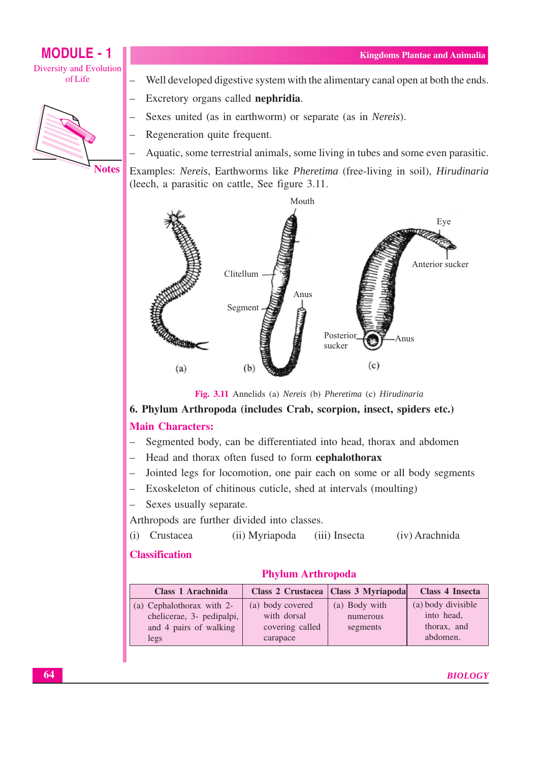## **MODULE - 1 Diversity and Evolution** ofLife



- Well developed digestive system with the alimentary canal open at both the ends.
- Excretory organs called nephridia.
- Sexes united (as in earthworm) or separate (as in Nereis).
- Regeneration quite frequent.
- Aquatic, some terrestrial animals, some living in tubes and some even parasitic.

Examples: Nereis, Earthworms like Pheretima (free-living in soil), Hirudinaria (leech, a parasitic on cattle, See figure 3.11.)



Fig. 3.11 Annelids (a) Nereis (b) Pheretima (c) Hirudinaria

## 6. Phylum Arthropoda (includes Crab, scorpion, insect, spiders etc.)

## **Main Characters:**

- Segmented body, can be differentiated into head, thorax and abdomen  $\equiv$
- Head and thorax often fused to form cephalothorax
- Jointed legs for locomotion, one pair each on some or all body segments
- Exoskeleton of chitinous cuticle, shed at intervals (moulting)
- Sexes usually separate.

Arthropods are further divided into classes.

(i) Crustacea (iii) Insecta (iv) Arachnida (ii) Myriapoda

## **Classification**

## **Phylum Arthropoda**

| Class 1 Arachnida                                                                        |                                                                | Class 2 Crustacea   Class 3 Myriapoda | <b>Class 4 Insecta</b>                                      |
|------------------------------------------------------------------------------------------|----------------------------------------------------------------|---------------------------------------|-------------------------------------------------------------|
| (a) Cephalothorax with 2-<br>chelicerae, 3- pedipalpi,<br>and 4 pairs of walking<br>legs | (a) body covered<br>with dorsal<br>covering called<br>carapace | (a) Body with<br>numerous<br>segments | (a) body divisible<br>into head,<br>thorax, and<br>abdomen. |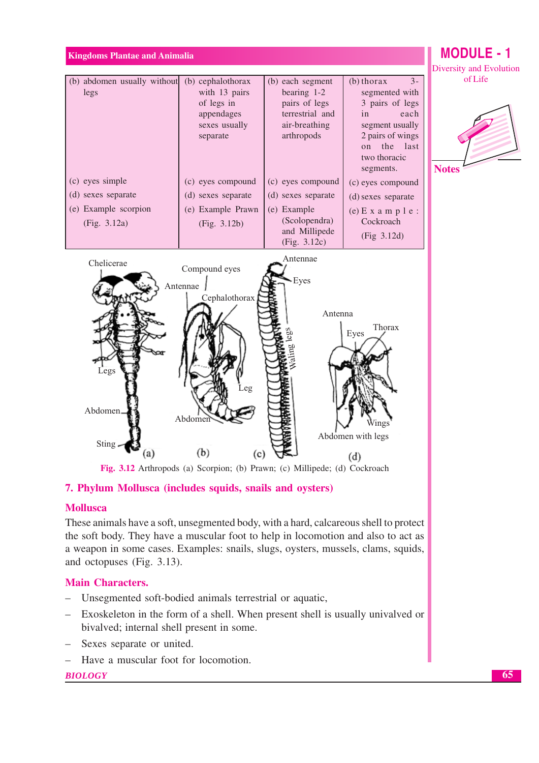## **MODULE - 1** Diversity and Evolution



## 7. Phylum Mollusca (includes squids, snails and oysters)

#### **Mollusca**

These animals have a soft, unsegmented body, with a hard, calcareous shell to protect the soft body. They have a muscular foot to help in locomotion and also to act as a weapon in some cases. Examples: snails, slugs, oysters, mussels, clams, squids, and octopuses (Fig. 3.13).

#### **Main Characters.**

- Unsegmented soft-bodied animals terrestrial or aquatic,  $\equiv$
- Exoskeleton in the form of a shell. When present shell is usually univalved or bivalved; internal shell present in some.
- Sexes separate or united.
- Have a muscular foot for locomotion.

#### **BIOLOGY**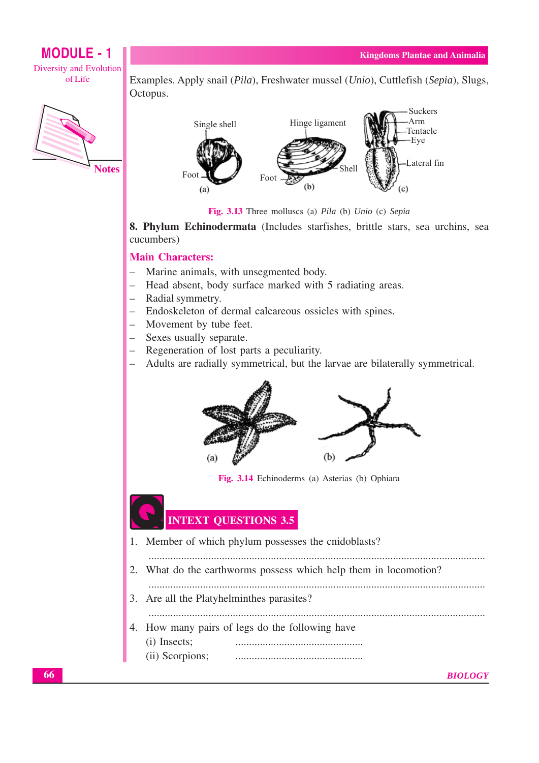## **MODULE - 1** Diversity and Evolution ofLife



Examples. Apply snail (*Pila*), Freshwater mussel (*Unio*), Cuttlefish (*Sepia*), Slugs, Octopus.



Fig. 3.13 Three molluscs (a) Pila (b) Unio (c) Sepia

8. Phylum Echinodermata (Includes starfishes, brittle stars, sea urchins, sea cucumbers)

## **Main Characters:**

- $\equiv$ Marine animals, with unsegmented body.
- Head absent, body surface marked with 5 radiating areas.
- Radial symmetry.
- Endoskeleton of dermal calcareous ossicles with spines.
- Movement by tube feet.
- Sexes usually separate.
- Regeneration of lost parts a peculiarity.
- Adults are radially symmetrical, but the larvae are bilaterally symmetrical.



Fig. 3.14 Echinoderms (a) Asterias (b) Ophiara

## **INTEXT QUESTIONS 3.5**

- 1. Member of which phylum possesses the cnidoblasts?
- 
- 2. What do the earthworms possess which help them in locomotion?
- - 3. Are all the Platyhelminthes parasites?
- 
- 4. How many pairs of legs do the following have (i) Insects:
	- (ii) Scorpions;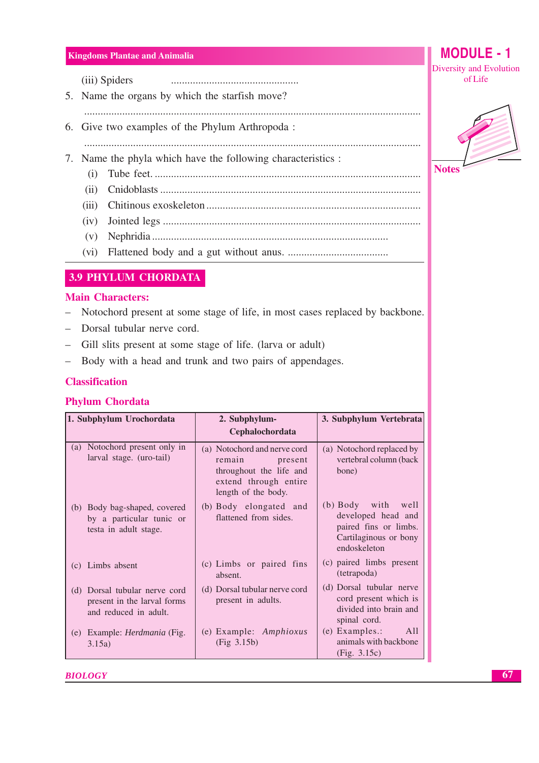(iii) Spiders 

- 5. Name the organs by which the starfish move?
- 
- 6. Give two examples of the Phylum Arthropoda:
- 7. Name the phyla which have the following characteristics :
	- $(i)$
	- $(ii)$

- 
- 
- 
- 

## **3.9 PHYLUM CHORDATA**

## **Main Characters:**

- Notochord present at some stage of life, in most cases replaced by backbone.  $\equiv$
- Dorsal tubular nerve cord.
- Gill slits present at some stage of life. (larva or adult)
- Body with a head and trunk and two pairs of appendages.  $\equiv$

## **Classification**

## **Phylum Chordata**

| 1. Subphylum Urochordata |                                                                                   | 3. Subphylum Vertebrata<br>2. Subphylum-                                                                                     |                                                                                                            |
|--------------------------|-----------------------------------------------------------------------------------|------------------------------------------------------------------------------------------------------------------------------|------------------------------------------------------------------------------------------------------------|
|                          |                                                                                   | Cephalochordata                                                                                                              |                                                                                                            |
| (a)                      | Notochord present only in<br>larval stage. (uro-tail)                             | (a) Notochord and nerve cord<br>remain<br>present<br>throughout the life and<br>extend through entire<br>length of the body. | (a) Notochord replaced by<br>vertebral column (back<br>bone)                                               |
| (b)                      | Body bag-shaped, covered<br>by a particular tunic or<br>testa in adult stage.     | (b) Body elongated and<br>flattened from sides.                                                                              | (b) Body with well<br>developed head and<br>paired fins or limbs.<br>Cartilaginous or bony<br>endoskeleton |
|                          | (c) Limbs absent                                                                  | (c) Limbs or paired fins<br>absent.                                                                                          | (c) paired limbs present<br>(tetrapoda)                                                                    |
| (d)                      | Dorsal tubular nerve cord<br>present in the larval forms<br>and reduced in adult. | (d) Dorsal tubular nerve cord<br>present in adults.                                                                          | (d) Dorsal tubular nerve<br>cord present which is<br>divided into brain and<br>spinal cord.                |
| (e)                      | Example: <i>Herdmania</i> (Fig.<br>3.15a)                                         | (e) Example: Amphioxus<br>(Fig 3.15b)                                                                                        | $(e)$ Examples.:<br>A <sub>11</sub><br>animals with backbone<br>(Fig. 3.15c)                               |

**BIOLOGY** 



**MODULE - 1** 

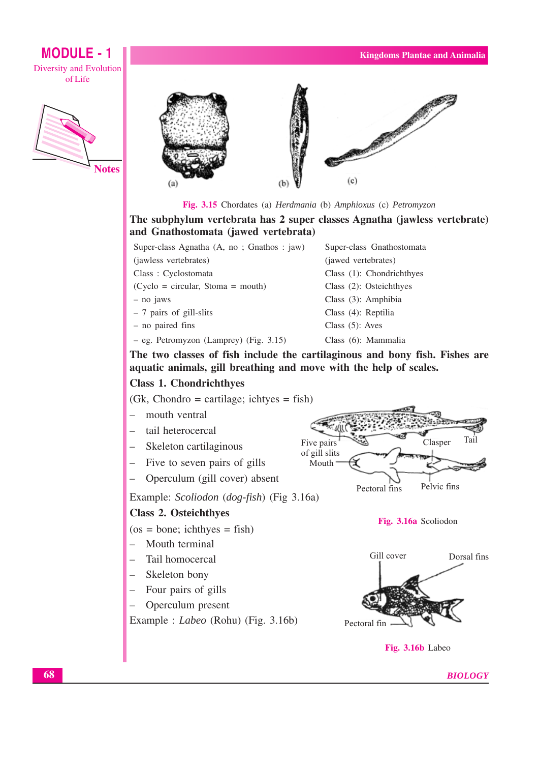# **MODULE - 1** Diversity and Evolution

ofLife



**Notes** 



Fig. 3.15 Chordates (a) Herdmania (b) Amphioxus (c) Petromyzon

The subphylum vertebrata has 2 super classes Agnatha (jawless vertebrate) and Gnathostomata (jawed vertebrata)

| The two classes of fish include the cartilagi |        |
|-----------------------------------------------|--------|
| - eg. Petromyzon (Lamprey) (Fig. 3.15)        | Clas   |
| - no paired fins                              | Clas   |
| - 7 pairs of gill-slits                       | Clas   |
| - no jaws                                     | Clas   |
| $(Cyclo = circular, Stoma = mouth)$           | Clas   |
| Class: Cyclostomata                           | Clas   |
| (jawless vertebrates)                         | (jaw   |
| Super-class Agnatha (A, no; Gnathos: 1aw)     | $\sup$ |

er-class Gnathostomata ed vertebrates) ss (1): Chondrichthyes ss (2): Osteichthyes ss (3): Amphibia ss (4): Reptilia  $ss(5)$ : Aves ss (6): Mammalia

The two classes of fish include the cartilaginous and bony fish. Fishes are aquatic animals, gill breathing and move with the help of scales.

## **Class 1. Chondrichthyes**

 $(Gk, Chondro = cartilage; ichtves = fish)$ 

- $\equiv$ mouth ventral
- tail heterocercal
- Skeleton cartilaginous
- Five to seven pairs of gills
- Operculum (gill cover) absent

Example: Scoliodon (dog-fish) (Fig 3.16a)

## Class 2. Osteichthyes

 $(os = bone; ichthyes = fish)$ 

- $-$  Mouth terminal
- Tail homocercal
- Skeleton bony
- $-$  Four pairs of gills
- Operculum present

Example : *Labeo* (Rohu) (Fig. 3.16b)



Fig. 3.16a Scoliodon



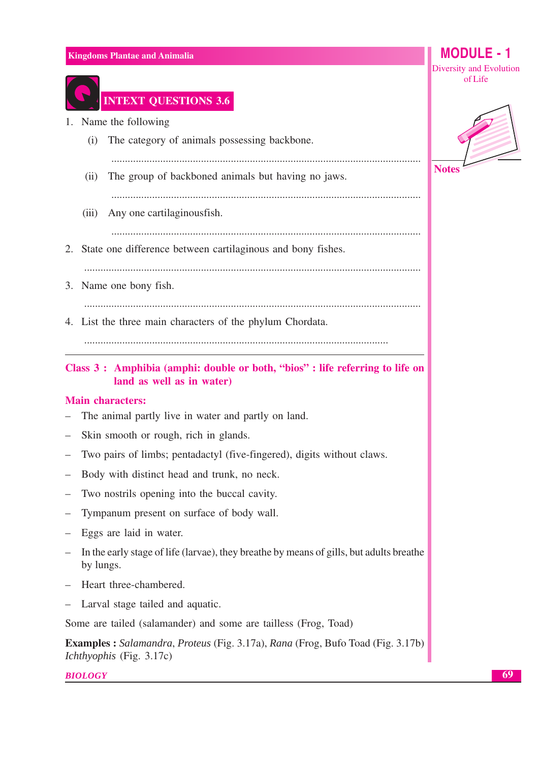

# **INTEXT QUESTIONS 3.6**

- 1. Name the following
	- The category of animals possessing backbone.  $(i)$

 $(ii)$ The group of backboned animals but having no jaws.

- (iii) Any one cartilaginous fish.
- 2. State one difference between cartilaginous and bony fishes.

- 3. Name one bony fish.
- 4. List the three main characters of the phylum Chordata.

Class 3: Amphibia (amphi: double or both, "bios": life referring to life on land as well as in water)

## **Main characters:**

- The animal partly live in water and partly on land.
- Skin smooth or rough, rich in glands.
- Two pairs of limbs; pentadactyl (five-fingered), digits without claws.
- Body with distinct head and trunk, no neck.
- Two nostrils opening into the buccal cavity.
- Tympanum present on surface of body wall.
- $-$  Eggs are laid in water.
- In the early stage of life (larvae), they breathe by means of gills, but adults breathe by lungs.
- Heart three-chambered.
- Larval stage tailed and aquatic.

Some are tailed (salamander) and some are tailless (Frog, Toad)

**Examples :** Salamandra, Proteus (Fig. 3.17a), Rana (Frog, Bufo Toad (Fig. 3.17b) Ichthyophis (Fig. 3.17c)

**BIOLOGY** 

MODULE -  $1$ 

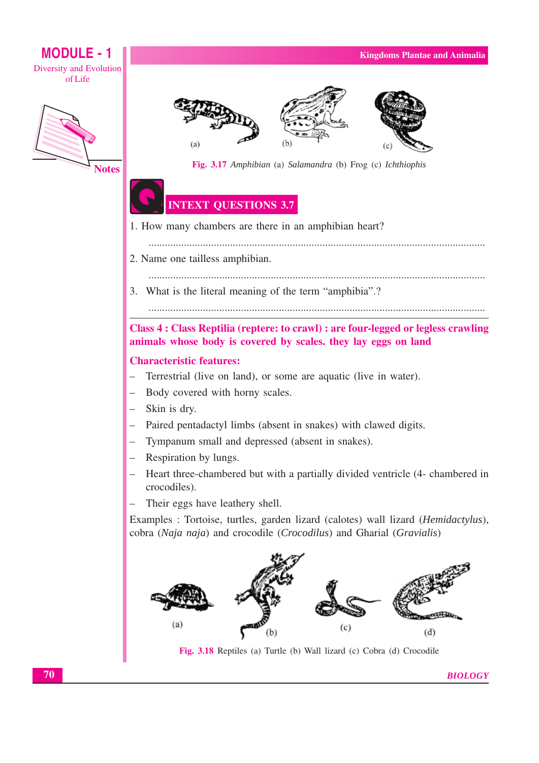# **MODULE - 1 Diversity and Evolution**

ofLife



**Notes** 







Fig. 3.17 Amphibian (a) Salamandra (b) Frog (c) Ichthiophis

## **INTEXT QUESTIONS 3.7**

- 1. How many chambers are there in an amphibian heart?
	-
- 2. Name one tailless amphibian.
	-
- 3. What is the literal meaning of the term "amphibia".?

Class 4 : Class Reptilia (reptere: to crawl) : are four-legged or legless crawling animals whose body is covered by scales, they lay eggs on land

## **Characteristic features:**

- Terrestrial (live on land), or some are aquatic (live in water).
- Body covered with horny scales.  $\equiv$
- Skin is dry.
- Paired pentadactyl limbs (absent in snakes) with clawed digits.
- Tympanum small and depressed (absent in snakes).
- Respiration by lungs.
- Heart three-chambered but with a partially divided ventricle (4- chambered in crocodiles).
- Their eggs have leathery shell.

Examples : Tortoise, turtles, garden lizard (calotes) wall lizard (Hemidactylus), cobra (Naja naja) and crocodile (Crocodilus) and Gharial (Gravialis)



Fig. 3.18 Reptiles (a) Turtle (b) Wall lizard (c) Cobra (d) Crocodile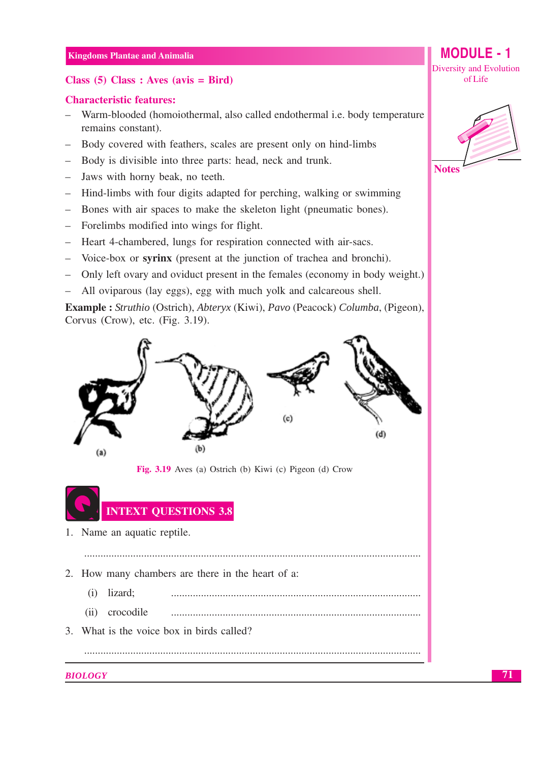## Class  $(5)$  Class : Aves  $(avis = Bird)$

## **Characteristic features:**

- Warm-blooded (homoiothermal, also called endothermal *i.e.* body temperature  $\equiv$ remains constant).
- Body covered with feathers, scales are present only on hind-limbs
- Body is divisible into three parts: head, neck and trunk.
- Jaws with horny beak, no teeth.
- Hind-limbs with four digits adapted for perching, walking or swimming
- Bones with air spaces to make the skeleton light (pneumatic bones).
- Forelimbs modified into wings for flight.
- Heart 4-chambered, lungs for respiration connected with air-sacs.
- Voice-box or syrinx (present at the junction of trachea and bronchi).
- Only left ovary and oviduct present in the females (economy in body weight.)
- All oviparous (lay eggs), egg with much yolk and calcareous shell.  $\overline{\phantom{0}}$

**Example :** *Struthio* (Ostrich), *Abteryx* (Kiwi), *Pavo* (Peacock) *Columba*, (Pigeon), Corvus (Crow), etc. (Fig. 3.19).



Fig. 3.19 Aves (a) Ostrich (b) Kiwi (c) Pigeon (d) Crow



- 1. Name an aquatic reptile.
- 2. How many chambers are there in the heart of a:
	- $(i)$  lizard;
	- crocodile  $(ii)$

3 What is the voice box in birds called?

## **BIOLOGY**

MODULE -  $1$ Diversity and Evolution of Life

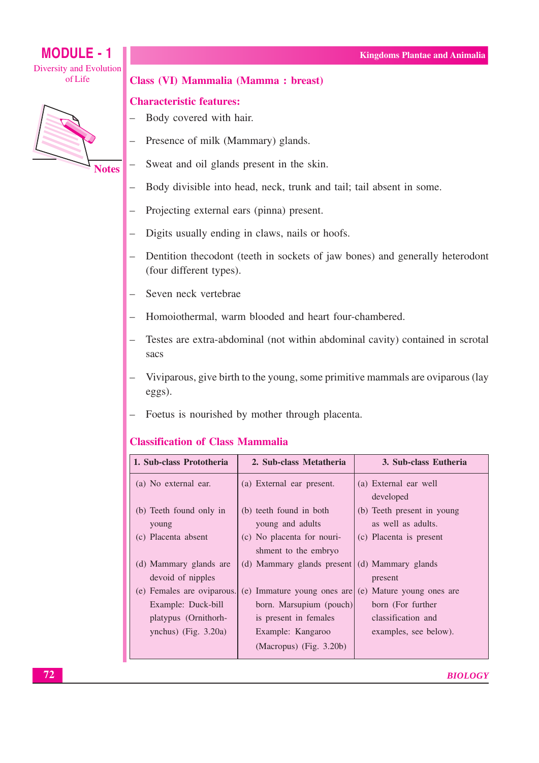## **MODULE - 1** Diversity and Evolution of Life



## Class (VI) Mammalia (Mamma: breast)

#### **Characteristic features:**

- Body covered with hair.
- Presence of milk (Mammary) glands.
- Sweat and oil glands present in the skin.  $\equiv$
- Body divisible into head, neck, trunk and tail; tail absent in some.  $\equiv$
- Projecting external ears (pinna) present.  $\equiv$
- Digits usually ending in claws, nails or hoofs.  $\frac{1}{2}$
- Dentition the codont (teeth in sockets of jaw bones) and generally heterodont (four different types).
- Seven neck vertebrae  $\equiv$
- Homoiothermal, warm blooded and heart four-chambered.  $=$
- Testes are extra-abdominal (not within abdominal cavity) contained in scrotal  $\equiv$ sacs
- Viviparous, give birth to the young, some primitive mammals are oviparous (lay eggs).
- Foetus is nourished by mother through placenta.  $\equiv$

## **Classification of Class Mammalia**

| 1. Sub-class Prototheria                    | 2. Sub-class Metatheria                            | 3. Sub-class Eutheria                            |
|---------------------------------------------|----------------------------------------------------|--------------------------------------------------|
| (a) No external ear.                        | (a) External ear present.                          | (a) External ear well<br>developed               |
| (b) Teeth found only in<br>young            | (b) teeth found in both<br>young and adults        | (b) Teeth present in young<br>as well as adults. |
| (c) Placenta absent                         | (c) No placenta for nouri-<br>shment to the embryo | (c) Placenta is present                          |
| (d) Mammary glands are<br>devoid of nipples | (d) Mammary glands present (d) Mammary glands      | present                                          |
| (e) Females are oviparous.                  | (e) Immature young ones are                        | (e) Mature young ones are                        |
| Example: Duck-bill                          | born. Marsupium (pouch)                            | born (For further                                |
| platypus (Ornithorh-                        | is present in females                              | classification and                               |
| ynchus) (Fig. $3.20a$ )                     | Example: Kangaroo                                  | examples, see below).                            |
|                                             | (Macropus) (Fig. 3.20b)                            |                                                  |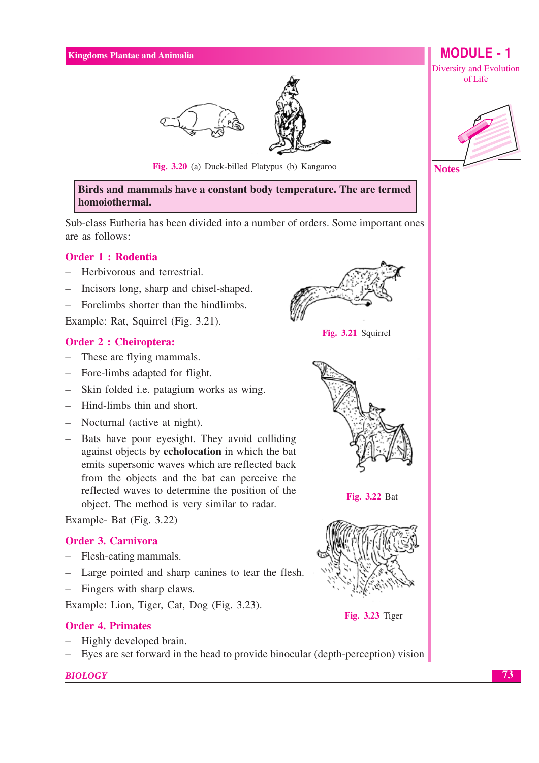

Fig. 3.20 (a) Duck-billed Platypus (b) Kangaroo

Birds and mammals have a constant body temperature. The are termed homoiothermal.

Sub-class Eutheria has been divided into a number of orders. Some important ones are as follows:

## **Order 1: Rodentia**

- Herbivorous and terrestrial.
- Incisors long, sharp and chisel-shaped.
- Forelimbs shorter than the hindlimbs.

Example: Rat, Squirrel (Fig. 3.21).

## **Order 2 : Cheiroptera:**

- These are flying mammals.
- Fore-limbs adapted for flight.
- Skin folded i.e. patagium works as wing.
- Hind-limbs thin and short.
- Nocturnal (active at night).
- Bats have poor eyesight. They avoid colliding against objects by **echolocation** in which the bat emits supersonic waves which are reflected back from the objects and the bat can perceive the reflected waves to determine the position of the object. The method is very similar to radar.

Example- Bat (Fig. 3.22)

#### **Order 3. Carnivora**

- Flesh-eating mammals.
- Large pointed and sharp canines to tear the flesh.
- Fingers with sharp claws.

Example: Lion, Tiger, Cat, Dog (Fig. 3.23).

#### **Order 4. Primates**

- Highly developed brain.
- Eyes are set forward in the head to provide binocular (depth-perception) vision



Fig. 3.21 Squirrel



Fig. 3.22 Bat







**MODULE - 1** 

Diversity and Evolution



**BIOLOGY**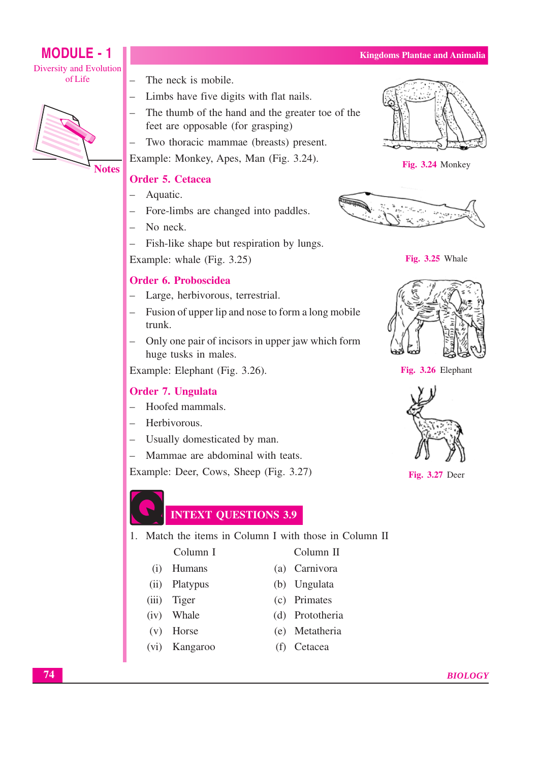- The neck is mobile.
- Limbs have five digits with flat nails.
- The thumb of the hand and the greater toe of the feet are opposable (for grasping)
- Two thoracic mammae (breasts) present.

Example: Monkey, Apes, Man (Fig. 3.24).

## Order 5. Cetacea

- Aquatic.  $\equiv$
- Fore-limbs are changed into paddles.
- $-$  No neck
- Fish-like shape but respiration by lungs.

Example: whale (Fig. 3.25)

## Order 6. Proboscidea

- Large, herbivorous, terrestrial.
- Fusion of upper lip and nose to form a long mobile trunk.
- Only one pair of incisors in upper jaw which form huge tusks in males.

Example: Elephant (Fig. 3.26).

## **Order 7. Ungulata**

- Hoofed mammals.
- Herbivorous.
- Usually domesticated by man.
- Mammae are abdominal with teats.

Example: Deer, Cows, Sheep (Fig. 3.27)

**INTEXT QUESTIONS 3.9** 

1. Match the items in Column I with those in Column II

Column<sub>II</sub>

- (a) Carnivora
	- (b) Ungulata
	- (c) Primates
	- (d) Prototheria
	- (e) Metatheria
	- (f) Cetacea



Fig. 3.24 Monkey





Fig. 3.25 Whale







Fig. 3.27 Deer



**MODULE - 1** 

**Diversity and Evolution** 

ofLife

- Column<sub>I</sub>
- 
- 
- 
- 
- 
- $(vi)$
- $(i)$  Humans
	- $(ii)$ Platypus
	- $(iii)$ Tiger
	- $(iv)$ Whale
	- $(v)$  Horse
		- Kangaroo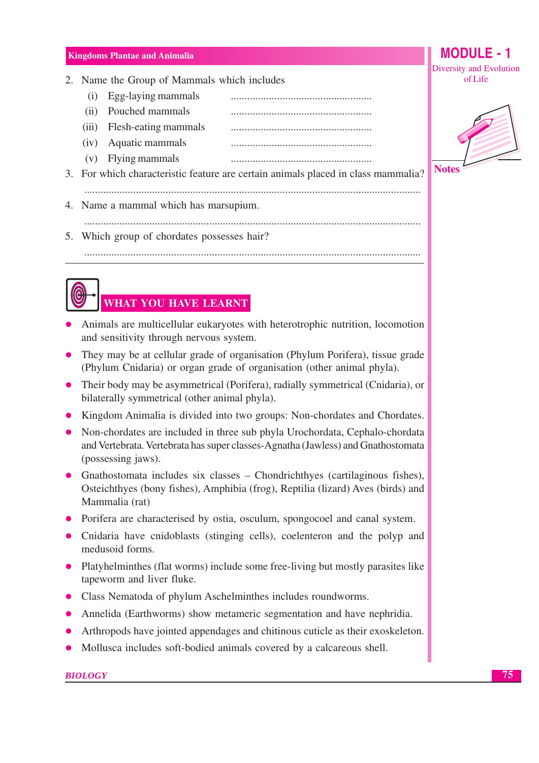- 2. Name the Group of Mammals which includes
	- $(i)$  Egg-laying mammals
	- (ii) Pouched mammals
	- (iii) Flesh-eating mammals
	- (iv) Aquatic mammals
	- $(v)$  Flying mammals
- 3. For which characteristic feature are certain animals placed in class mammalia?
	-
- 4. Name a mammal which has marsupium.

- 5. Which group of chordates possesses hair?
	- **WHAT YOU HAVE LEARNT**
- Animals are multicellular eukaryotes with heterotrophic nutrition, locomotion and sensitivity through nervous system.
- They may be at cellular grade of organisation (Phylum Porifera), tissue grade (Phylum Cnidaria) or organ grade of organisation (other animal phyla).
- Their body may be asymmetrical (Porifera), radially symmetrical (Cnidaria), or bilaterally symmetrical (other animal phyla).
- Kingdom Animalia is divided into two groups: Non-chordates and Chordates.
- Non-chordates are included in three sub phyla Urochordata, Cephalo-chordata and Vertebrata. Vertebrata has super classes-Agnatha (Jawless) and Gnathostomata (possessing jaws).
- Gnathostomata includes six classes Chondrichthyes (cartilaginous fishes), Osteichthyes (bony fishes), Amphibia (frog), Reptilia (lizard) Aves (birds) and Mammalia (rat)
- Porifera are characterised by ostia, osculum, spongocoel and canal system.
- Cnidaria have cnidoblasts (stinging cells), coelenteron and the polyp and medusoid forms.
- Platyhelminthes (flat worms) include some free-living but mostly parasites like tapeworm and liver fluke.
- Class Nematoda of phylum Aschelminthes includes roundworms.
- Annelida (Earthworms) show metameric segmentation and have nephridia.
- Arthropods have jointed appendages and chitinous cuticle as their exoskeleton.
- Mollusca includes soft-bodied animals covered by a calcareous shell.

## **BIOLOGY**

75



**Notes** 

MODULE -  $1$ 

Diversity and Evolution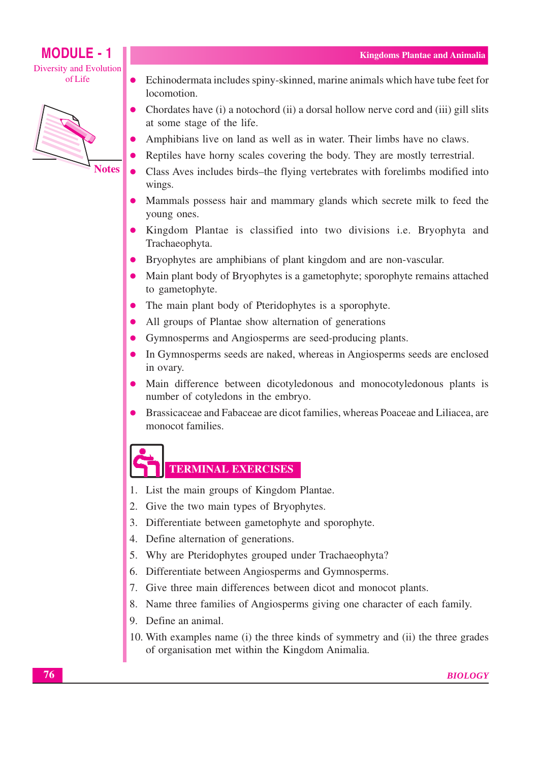**MODULE - 1 Diversity and Evolution** ofLife



- Echinodermata includes spiny-skinned, marine animals which have tube feet for  $\bullet$ locomotion.
- Chordates have (i) a notochord (ii) a dorsal hollow nerve cord and (iii) gill slits at some stage of the life.
- Amphibians live on land as well as in water. Their limbs have no claws.
- Reptiles have horny scales covering the body. They are mostly terrestrial.
- Class Aves includes birds-the flying vertebrates with forelimbs modified into wings.
- Mammals possess hair and mammary glands which secrete milk to feed the voung ones.
- Kingdom Plantae is classified into two divisions i.e. Bryophyta and Trachaeophyta.
- Bryophytes are amphibians of plant kingdom and are non-vascular.
- Main plant body of Bryophytes is a gametophyte; sporophyte remains attached to gametophyte.
- The main plant body of Pteridophytes is a sporophyte.  $\bullet$
- All groups of Plantae show alternation of generations  $\bullet$
- Gymnosperms and Angiosperms are seed-producing plants.
- In Gymnosperms seeds are naked, whereas in Angiosperms seeds are enclosed in ovary.
- Main difference between dicotyledonous and monocotyledonous plants is number of cotyledons in the embryo.
- Brassicaceae and Fabaceae are dicot families, whereas Poaceae and Liliacea, are monocot families.

# **TERMINAL EXERCISES**

- 1. List the main groups of Kingdom Plantae.
- 2. Give the two main types of Bryophytes.
- 3. Differentiate between gametophyte and sporophyte.
- 4. Define alternation of generations.
- 5. Why are Pteridophytes grouped under Trachaeophyta?
- 6. Differentiate between Angiosperms and Gymnosperms.
- 7. Give three main differences between dicot and monocot plants.
- 8. Name three families of Angiosperms giving one character of each family.
- 9. Define an animal.
- 10. With examples name (i) the three kinds of symmetry and (ii) the three grades of organisation met within the Kingdom Animalia.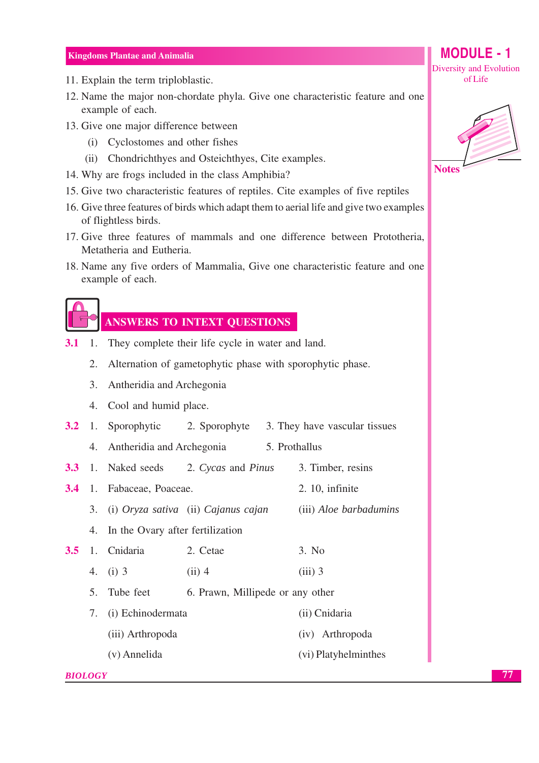- 11. Explain the term triploblastic.
- 12. Name the major non-chordate phyla. Give one characteristic feature and one example of each.
- 13. Give one major difference between
	- (i) Cyclostomes and other fishes
	- (ii) Chondrichthyes and Osteichthyes, Cite examples.
- 14. Why are frogs included in the class Amphibia?
- 15. Give two characteristic features of reptiles. Cite examples of five reptiles
- 16. Give three features of birds which adapt them to aerial life and give two examples of flightless birds.
- 17. Give three features of mammals and one difference between Prototheria, Metatheria and Eutheria.
- 18. Name any five orders of Mammalia, Give one characteristic feature and one example of each.



# **ANSWERS TO INTEXT OUESTIONS**

- $3.1$  $1<sup>1</sup>$ They complete their life cycle in water and land.
	- 2. Alternation of gametophytic phase with sporophytic phase.
	- 3. Antheridia and Archegonia
	- 4. Cool and humid place.
- **3.2** 1. Sporophytic 3. They have vascular tissues 2. Sporophyte
	- 5. Prothallus 4. Antheridia and Archegonia
- 1. Naked seeds 3. Timber, resins  $3.3$ 2. Cycas and Pinus
- 3.4 1. Fabaceae, Poaceae. 2. 10. infinite
	- 3. (i) Oryza sativa (ii) Cajanus cajan (iii) Aloe barbadumins
	- 4. In the Ovary after fertilization
- $3.5$ 1. Cnidaria 2. Cetae  $3. No$ 4. (i)  $3$  $(iii)$  3  $(ii)$  4
	- 5. Tube feet 6. Prawn, Millipede or any other
	- 7. (i) Echinodermata (ii) Cnidaria (iii) Arthropoda (iv) Arthropoda (v) Annelida (vi) Platyhelminthes